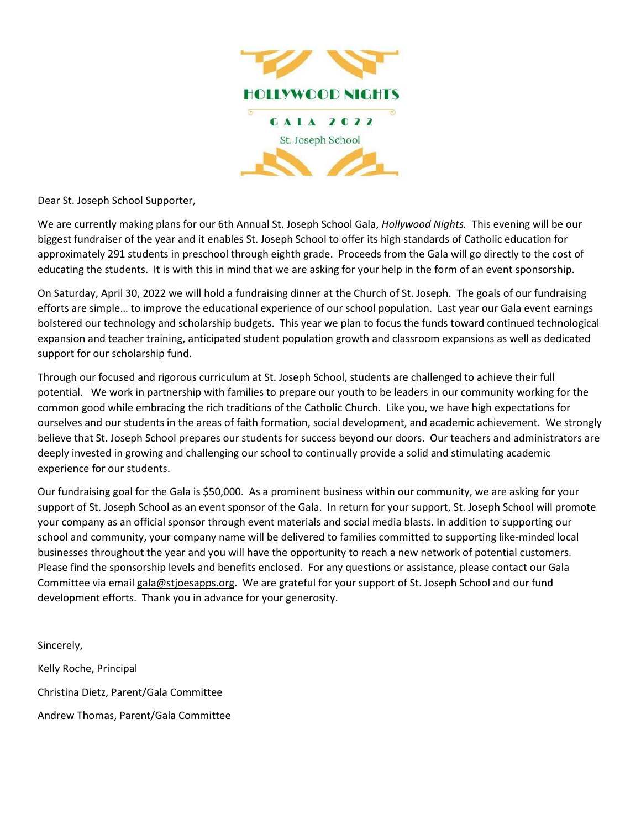

Dear St. Joseph School Supporter,

We are currently making plans for our 6th Annual St. Joseph School Gala, *Hollywood Nights.* This evening will be our biggest fundraiser of the year and it enables St. Joseph School to offer its high standards of Catholic education for approximately 291 students in preschool through eighth grade. Proceeds from the Gala will go directly to the cost of educating the students. It is with this in mind that we are asking for your help in the form of an event sponsorship.

On Saturday, April 30, 2022 we will hold a fundraising dinner at the Church of St. Joseph. The goals of our fundraising efforts are simple… to improve the educational experience of our school population. Last year our Gala event earnings bolstered our technology and scholarship budgets. This year we plan to focus the funds toward continued technological expansion and teacher training, anticipated student population growth and classroom expansions as well as dedicated support for our scholarship fund.

Through our focused and rigorous curriculum at St. Joseph School, students are challenged to achieve their full potential. We work in partnership with families to prepare our youth to be leaders in our community working for the common good while embracing the rich traditions of the Catholic Church. Like you, we have high expectations for ourselves and our students in the areas of faith formation, social development, and academic achievement. We strongly believe that St. Joseph School prepares our students for success beyond our doors. Our teachers and administrators are deeply invested in growing and challenging our school to continually provide a solid and stimulating academic experience for our students.

Our fundraising goal for the Gala is \$50,000. As a prominent business within our community, we are asking for your support of St. Joseph School as an event sponsor of the Gala. In return for your support, St. Joseph School will promote your company as an official sponsor through event materials and social media blasts. In addition to supporting our school and community, your company name will be delivered to families committed to supporting like-minded local businesses throughout the year and you will have the opportunity to reach a new network of potential customers. Please find the sponsorship levels and benefits enclosed. For any questions or assistance, please contact our Gala Committee via email gala@stjoesapps.org. We are grateful for your support of St. Joseph School and our fund development efforts. Thank you in advance for your generosity.

Sincerely, Kelly Roche, Principal Christina Dietz, Parent/Gala Committee Andrew Thomas, Parent/Gala Committee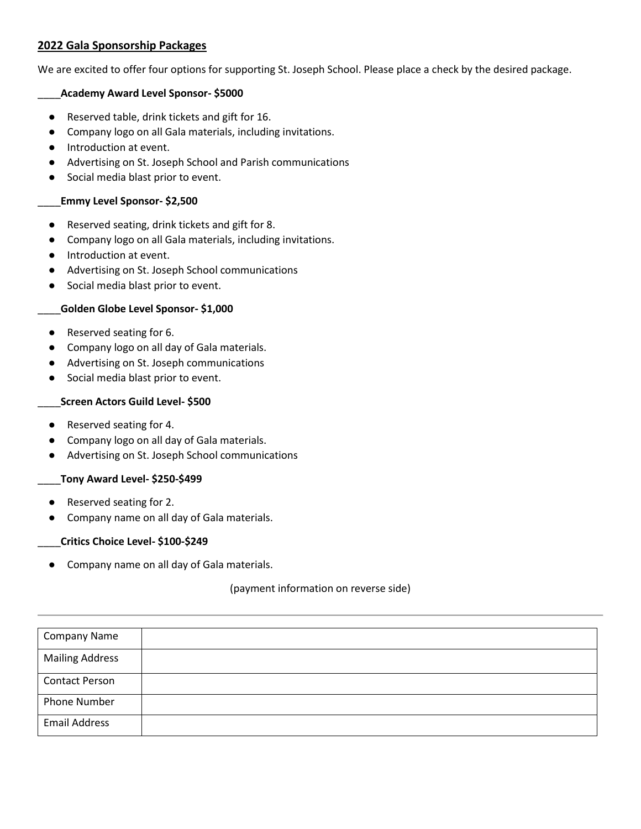# **2022 Gala Sponsorship Packages**

We are excited to offer four options for supporting St. Joseph School. Please place a check by the desired package.

# \_\_\_\_**Academy Award Level Sponsor- \$5000**

- Reserved table, drink tickets and gift for 16.
- Company logo on all Gala materials, including invitations.
- Introduction at event.
- Advertising on St. Joseph School and Parish communications
- Social media blast prior to event.

## \_\_\_\_**Emmy Level Sponsor- \$2,500**

- Reserved seating, drink tickets and gift for 8.
- Company logo on all Gala materials, including invitations.
- Introduction at event.
- Advertising on St. Joseph School communications
- Social media blast prior to event.

# \_\_\_\_**Golden Globe Level Sponsor- \$1,000**

- Reserved seating for 6.
- Company logo on all day of Gala materials.
- Advertising on St. Joseph communications
- Social media blast prior to event.

#### \_\_\_\_**Screen Actors Guild Level- \$500**

- Reserved seating for 4.
- Company logo on all day of Gala materials.
- Advertising on St. Joseph School communications

#### \_\_\_\_**Tony Award Level- \$250-\$499**

- Reserved seating for 2.
- Company name on all day of Gala materials.

#### \_\_\_\_**Critics Choice Level- \$100-\$249**

● Company name on all day of Gala materials.

#### (payment information on reverse side)

| <b>Company Name</b>    |  |
|------------------------|--|
| <b>Mailing Address</b> |  |
| <b>Contact Person</b>  |  |
| <b>Phone Number</b>    |  |
| <b>Email Address</b>   |  |